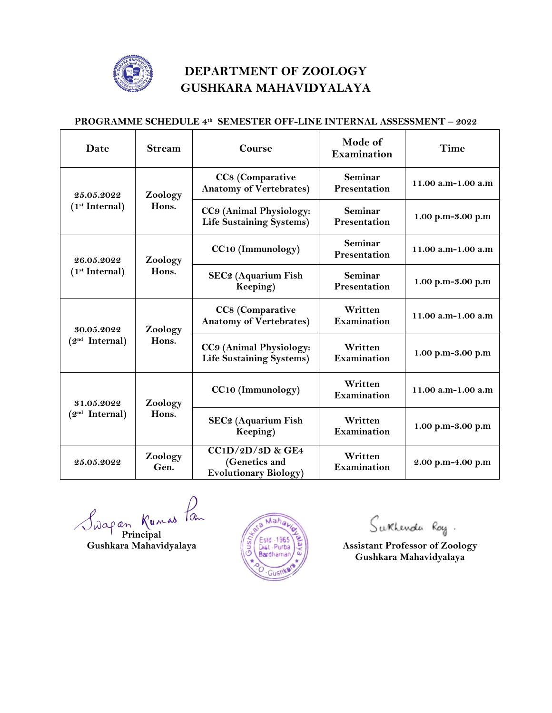

## **DEPARTMENT OF ZOOLOGY GUSHKARA MAHAVIDYALAYA**

## **PROGRAMME SCHEDULE 4th SEMESTER OFF-LINE INTERNAL ASSESSMENT – 2022**

| Date                                     | <b>Stream</b>    | Course                                                              | Mode of<br>Examination  | Time               |
|------------------------------------------|------------------|---------------------------------------------------------------------|-------------------------|--------------------|
| 25.05.2022<br>(1 <sup>st</sup> Internal) | Zoology<br>Hons. | CC8 (Comparative<br><b>Anatomy of Vertebrates)</b>                  | Seminar<br>Presentation | 11.00 a.m-1.00 a.m |
|                                          |                  | CC9 (Animal Physiology:<br><b>Life Sustaining Systems)</b>          | Seminar<br>Presentation | 1.00 p.m-3.00 p.m  |
| 26.05.2022<br>(1 <sup>st</sup> Internal) | Zoology<br>Hons. | CC10 (Immunology)                                                   | Seminar<br>Presentation | 11.00 a.m-1.00 a.m |
|                                          |                  | SEC2 (Aquarium Fish<br>Keeping)                                     | Seminar<br>Presentation | 1.00 p.m-3.00 p.m  |
| 30.05.2022<br>(2 <sup>nd</sup> Internal) | Zoology<br>Hons. | CC8 (Comparative<br><b>Anatomy of Vertebrates)</b>                  | Written<br>Examination  | 11.00 a.m-1.00 a.m |
|                                          |                  | CC9 (Animal Physiology:<br><b>Life Sustaining Systems)</b>          | Written<br>Examination  | 1.00 p.m-3.00 p.m  |
| 31.05.2022<br>(2 <sup>nd</sup> Internal) | Zoology<br>Hons. | CC10 (Immunology)                                                   | Written<br>Examination  | 11.00 a.m-1.00 a.m |
|                                          |                  | SEC2 (Aquarium Fish<br>Keeping)                                     | Written<br>Examination  | 1.00 p.m-3.00 p.m  |
| 25.05.2022                               | Zoology<br>Gen.  | $CC1D/2D/3D$ & GE4<br>(Genetics and<br><b>Evolutionary Biology)</b> | Written<br>Examination  | 2.00 p.m-4.00 p.m  |

Swapan Kumas Pan



Sukhenda Roy.

**Gushean Manual Manual Manual Manual Manual Manual Manual Manual Manual Manual Manual Manual Manual Manual Manual Manual Manual Manual Manual Manual Manual Manual Manual Manual Manual Manual Manual Manual Manual Manual Man Gushkara Mahavidyalaya**